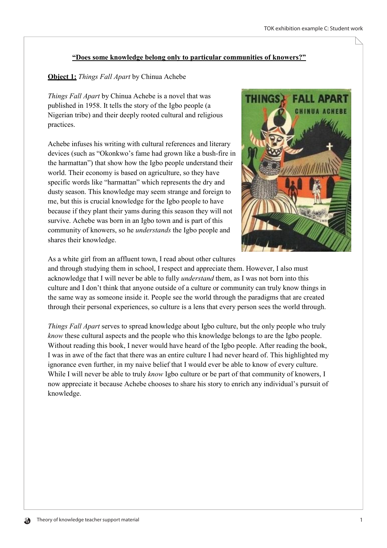## "Does some knowledge belong only to particular communities of knowers?"

## **Object 1:** Things Fall Apart by Chinua Achebe

Things Fall Apart by Chinua Achebe is a novel that was published in 1958. It tells the story of the Igbo people (a Nigerian tribe) and their deeply rooted cultural and religious practices.

Achebe infuses his writing with cultural references and literary devices (such as "Okonkwo's fame had grown like a bush-fire in the harmattan") that show how the Igbo people understand their world. Their economy is based on agriculture, so they have specific words like "harmattan" which represents the dry and dusty season. This knowledge may seem strange and foreign to me, but this is crucial knowledge for the Igbo people to have because if they plant their yams during this season they will not survive. Achebe was born in an Igbo town and is part of this community of knowers, so he *understands* the Igbo people and shares their knowledge.



As a white girl from an affluent town, I read about other cultures

and through studying them in school. I respect and appreciate them. However, I also must acknowledge that I will never be able to fully *understand* them, as I was not born into this culture and I don't think that anyone outside of a culture or community can truly know things in the same way as someone inside it. People see the world through the paradigms that are created through their personal experiences, so culture is a lens that every person sees the world through.

Things Fall Apart serves to spread knowledge about Igbo culture, but the only people who truly *know* these cultural aspects and the people who this knowledge belongs to are the Igbo people. Without reading this book, I never would have heard of the Igbo people. After reading the book, I was in awe of the fact that there was an entire culture I had never heard of. This highlighted my ignorance even further, in my naive belief that I would ever be able to know of every culture. While I will never be able to truly *know* Igbo culture or be part of that community of knowers, I now appreciate it because Achebe chooses to share his story to enrich any individual's pursuit of knowledge.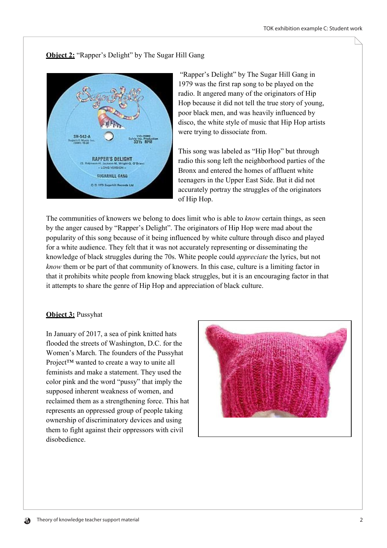## **Object 2: "Rapper's Delight" by The Sugar Hill Gang**



"Rapper's Delight" by The Sugar Hill Gang in 1979 was the first rap song to be played on the radio. It angered many of the originators of Hip Hop because it did not tell the true story of young, poor black men, and was heavily influenced by disco, the white style of music that Hip Hop artists were trying to dissociate from.

This song was labeled as "Hip Hop" but through radio this song left the neighborhood parties of the Bronx and entered the homes of affluent white teenagers in the Upper East Side. But it did not accurately portray the struggles of the originators of Hip Hop.

The communities of knowers we belong to does limit who is able to *know* certain things, as seen by the anger caused by "Rapper's Delight". The originators of Hip Hop were mad about the popularity of this song because of it being influenced by white culture through disco and played for a white audience. They felt that it was not accurately representing or disseminating the knowledge of black struggles during the 70s. White people could *appreciate* the lyrics, but not know them or be part of that community of knowers. In this case, culture is a limiting factor in that it prohibits white people from knowing black struggles, but it is an encouraging factor in that it attempts to share the genre of Hip Hop and appreciation of black culture.

## Object 3: Pussyhat

In January of 2017, a sea of pink knitted hats flooded the streets of Washington, D.C. for the Women's March. The founders of the Pussyhat Project™ wanted to create a way to unite all feminists and make a statement. They used the color pink and the word "pussy" that imply the supposed inherent weakness of women, and reclaimed them as a strengthening force. This hat represents an oppressed group of people taking ownership of discriminatory devices and using them to fight against their oppressors with civil disobedience